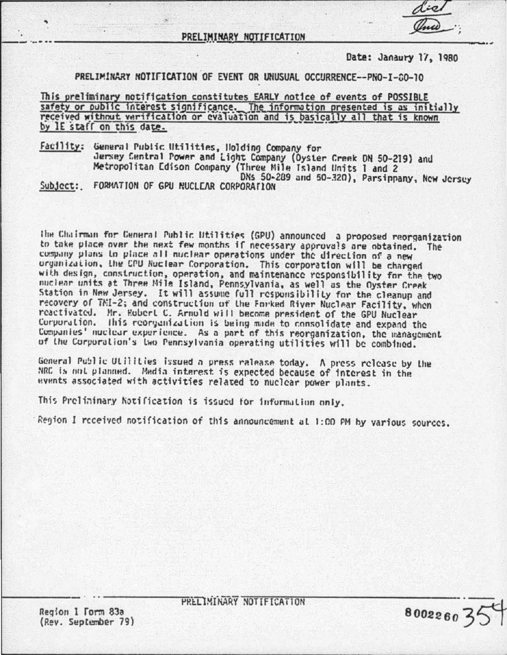## Date: Janaury 17, 1980

80022603

# PRELIMINARY NOTIFICATION OF EVENT OR UNUSUAL OCCURRENCE--PNO-I-80-10

This preliminary notification constitutes EARLY notice of events of POSSIBLE safety or public interest significance. The information presented is as initially received without verification or evaluation and is basically all that is known by IE staff on this date.

Facility: General Public Utilities, Holding Company for Jersey Central Power and Light Company (Oyster Creek DN 50-219) and Metropolitan Edison Company (Three Mile Island Units 1 and 2 DNs 50-209 and 50-320), Parsippany, New Jersey Subject: FORMATION OF GPU NUCLEAR CORPORATION

the Chairman for Ceneral Public Utilities (GPU) announced a proposed reorganization<br>to take place over the next few months if necessary approvals are obtained. The company plans to place all nuclear operations under the direction of a new organization, the CPU Nuclear Corporation. This corporation will be charged with design, construction, operation, and maintenance responsibility for the two<br>nuclear units at Three Mile Island, Pennsylvania, as well as the Oyster Creek Station in New Jersey. It will assume full responsibility for the cleanup and recovery of TMI-2; and construction of the Forked River Nuclear Facility, when reactivated. Mr. Robert C. Arnold will become president of the GPU Nuclear Corporation. This reorganization is being made to consolidate and expand the Companies' nuclear experience. As a part of this reorganization, the management of the Corporation's two Pennsylvania operating utilities will be combined.

General Public Utilities issued a press ralease today. A press release by the NRC is not planned. Media interest is expected because of interest in the events associated with activities related to nuclear power plants.

This Prelininary Notification is issued for information only.

Region I received notification of this announcement at 1:00 PM by various sources.

Region 1 Form 83a (Rev. September 79) PRELIMINARY NOTIFICATION